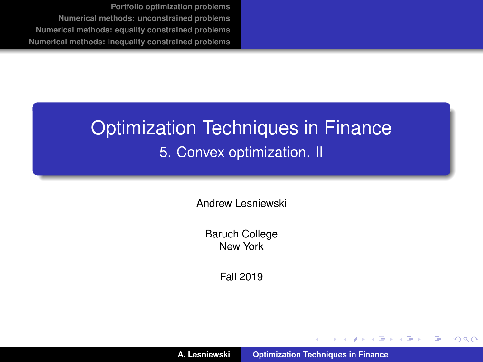## <span id="page-0-0"></span>Optimization Techniques in Finance 5. Convex optimization. II

Andrew Lesniewski

Baruch College New York

Fall 2019

**A. Lesniewski [Optimization Techniques in Finance](#page-64-0)**

(ロトス個) (運) (運)

 $299$ 

重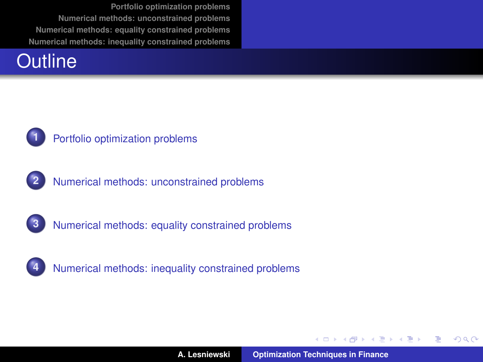#### **Outline**



#### **1** [Portfolio optimization problems](#page-2-0)







**4** [Numerical methods: inequality constrained problems](#page-45-0)

イロメ イ部メ イ君メ イ君メー

 $QQQ$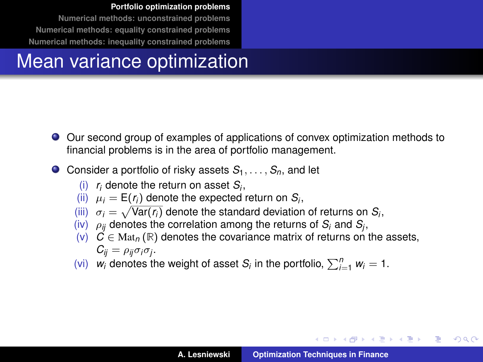## <span id="page-2-0"></span>Mean variance optimization

- Our second group of examples of applications of convex optimization methods to financial problems is in the area of portfolio management.
- **O** Consider a portfolio of risky assets  $S_1, \ldots, S_n$  and let
	- (i) *r<sup>i</sup>* denote the return on asset *S<sup>i</sup>* ,
	- (ii)  $\mu_i = \mathsf{E}(r_i)$  denote the expected return on  $S_i$ ,
	- (iii)  $\sigma_i = \sqrt{\text{Var}(r_i)}$  denote the standard deviation of returns on  $S_i$ ,
	- $(iv)$   $\rho_{ij}$  denotes the correlation among the returns of  $S_i$  and  $S_j$ ,
	- (v)  $\mathcal{C} \in \text{Mat}_n(\mathbb{R})$  denotes the covariance matrix of returns on the assets,  $C_{ij} = \rho_{ij}\sigma_i\sigma_j$ .
	- (vi)  $w_i$  denotes the weight of asset  $S_i$  in the portfolio,  $\sum_{i=1}^n w_i = 1$ .

イロト イ団 トイ ミト イモト

÷.  $2Q$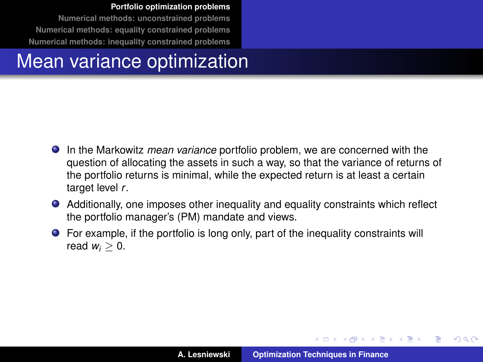#### Mean variance optimization

- In the Markowitz *mean variance* portfolio problem, we are concerned with the question of allocating the assets in such a way, so that the variance of returns of the portfolio returns is minimal, while the expected return is at least a certain target level r.
- Additionally, one imposes other inequality and equality constraints which reflect the portfolio manager's (PM) mandate and views.
- For example, if the portfolio is long only, part of the inequality constraints will read  $w_i > 0$ .

イロメ イ部メ イヨメ イヨメー

 $QQ$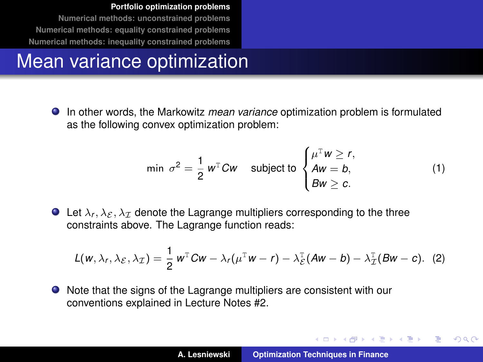## Mean variance optimization

In other words, the Markowitz *mean variance* optimization problem is formulated as the following convex optimization problem:

<span id="page-4-0"></span>
$$
\min \sigma^2 = \frac{1}{2} w^{\mathrm{T}} C w \quad \text{subject to } \begin{cases} \mu^{\mathrm{T}} w \ge r, \\ A w = b, \\ B w \ge c. \end{cases} \tag{1}
$$

**Example 1** Let  $\lambda_f$ ,  $\lambda_{\mathcal{E}}$ ,  $\lambda_{\mathcal{I}}$  denote the Lagrange multipliers corresponding to the three constraints above. The Lagrange function reads:

$$
L(w, \lambda_r, \lambda_{\mathcal{E}}, \lambda_{\mathcal{I}}) = \frac{1}{2} w^{\mathrm{T}} C w - \lambda_r (\mu^{\mathrm{T}} w - r) - \lambda_{\mathcal{E}}^{\mathrm{T}} (A w - b) - \lambda_{\mathcal{I}}^{\mathrm{T}} (B w - c). \tag{2}
$$

● Note that the signs of the Lagrange multipliers are consistent with our conventions explained in Lecture Notes #2.

イロメ イ部メ イヨメ イヨメー

 $QQQ$ Þ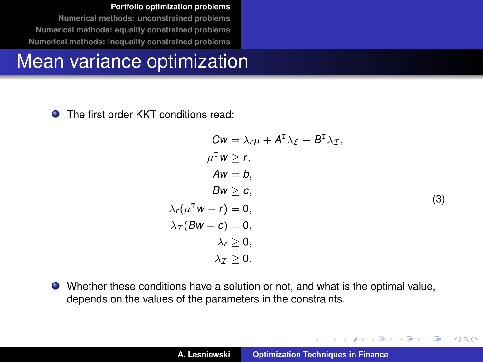#### Mean variance optimization

 $\bullet$ The first order KKT conditions read:

$$
Cw = \lambda_r \mu + A^{\mathrm{T}} \lambda_{\mathcal{E}} + B^{\mathrm{T}} \lambda_{\mathcal{I}},
$$
  
\n
$$
\mu^{\mathrm{T}} w \ge r,
$$
  
\n
$$
Aw = b,
$$
  
\n
$$
Bw \ge c,
$$
  
\n
$$
\lambda_r(\mu^{\mathrm{T}} w - r) = 0,
$$
  
\n
$$
\lambda_{\mathcal{I}}(Bw - c) = 0,
$$
  
\n
$$
\lambda_r \ge 0,
$$
  
\n
$$
\lambda_{\mathcal{I}} \ge 0.
$$
  
\n(3)

イロメ イ団メ イヨメ イヨメー

 $299$ 

重

<span id="page-5-0"></span>Whether these conditions have a solution or not, and what is the optimal value, depends on the values of the parameters in the constraints.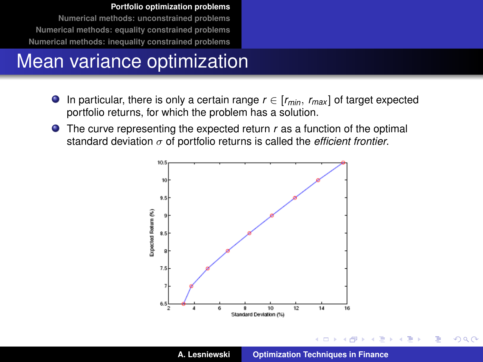## Mean variance optimization

- $\bullet$  In particular, there is only a certain range  $r \in [r_{min}, r_{max}]$  of target expected portfolio returns, for which the problem has a solution.
- **•** The curve representing the expected return *r* as a function of the optimal standard deviation σ of portfolio returns is called the *efficient frontier*.



4 0 8

 $\rightarrow$ 

 $299$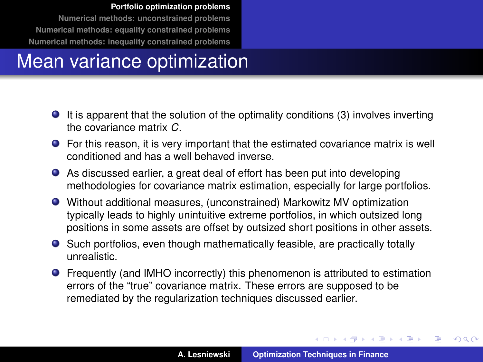## Mean variance optimization

- It is apparent that the solution of the optimality conditions [\(3\)](#page-5-0) involves inverting the covariance matrix *C*.
- For this reason, it is very important that the estimated covariance matrix is well conditioned and has a well behaved inverse.
- As discussed earlier, a great deal of effort has been put into developing methodologies for covariance matrix estimation, especially for large portfolios.
- Without additional measures, (unconstrained) Markowitz MV optimization typically leads to highly unintuitive extreme portfolios, in which outsized long positions in some assets are offset by outsized short positions in other assets.
- Such portfolios, even though mathematically feasible, are practically totally unrealistic.
- Frequently (and IMHO incorrectly) this phenomenon is attributed to estimation errors of the "true" covariance matrix. These errors are supposed to be remediated by the regularization techniques discussed earlier.

イロメ イ部メ イヨメ イヨメー

 $299$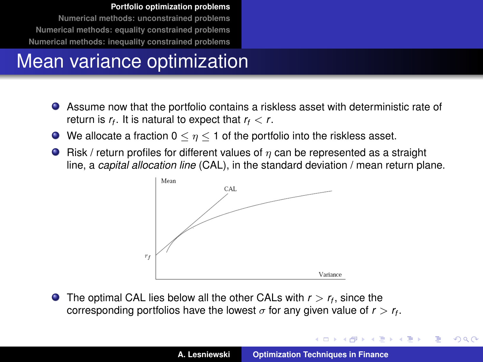## Mean variance optimization

- Assume now that the portfolio contains a riskless asset with deterministic rate of return is  $r_f$ . It is natural to expect that  $r_f < r$ .
- $\bullet$  We allocate a fraction  $0 \leq \eta \leq 1$  of the portfolio into the riskless asset.
- **•** Risk / return profiles for different values of  $\eta$  can be represented as a straight line, a *capital allocation line* (CAL), in the standard deviation / mean return plane.



The optimal CAL lies below all the other CALs with *r* > *r<sup>f</sup>* , since the corresponding portfolios have the lowest  $\sigma$  for any given value of  $r > r_f$ .

イロメ イ部メ イ君メ イ君メー

 $299$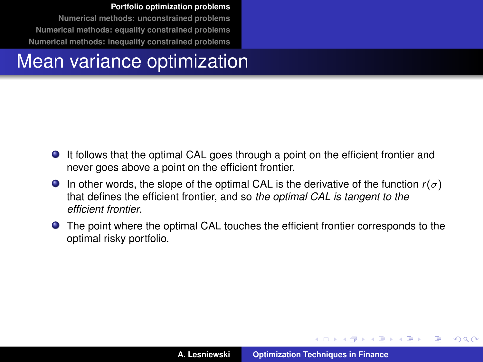#### Mean variance optimization

- It follows that the optimal CAL goes through a point on the efficient frontier and never goes above a point on the efficient frontier.
- **In other words, the slope of the optimal CAL is the derivative of the function**  $r(\sigma)$ that defines the efficient frontier, and so *the optimal CAL is tangent to the efficient frontier*.
- The point where the optimal CAL touches the efficient frontier corresponds to the optimal risky portfolio.

イロメ イ部メ イ君メ イ君メー

 $QQ$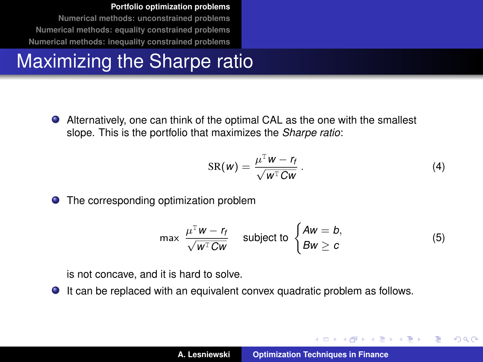## Maximizing the Sharpe ratio

Alternatively, one can think of the optimal CAL as the one with the smallest slope. This is the portfolio that maximizes the *Sharpe ratio*:

$$
SR(w) = \frac{\mu^T w - r_f}{\sqrt{w^T C w}}.
$$
 (4)

イロメ イ部メ イヨメ イヨメー

Þ  $QQQ$ 

**•** The corresponding optimization problem

<span id="page-10-0"></span>
$$
\max \frac{\mu^{\mathrm{T}} w - r_f}{\sqrt{w^{\mathrm{T}} C w}} \quad \text{subject to } \begin{cases} Aw = b, \\ Bw \ge c \end{cases}
$$
 (5)

is not concave, and it is hard to solve.

It can be replaced with an equivalent convex quadratic problem as follows.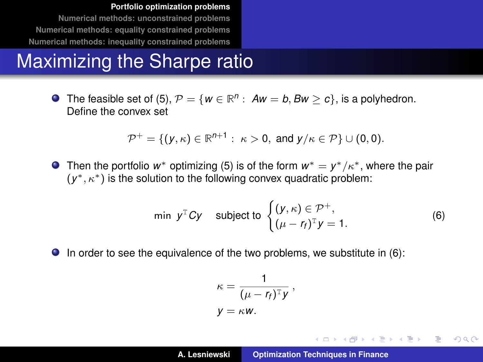#### Maximizing the Sharpe ratio

The feasible set of [\(5\)](#page-10-0),  $\mathcal{P} = \{w \in \mathbb{R}^n: Aw = b, Bw \ge c\}$ , is a polyhedron. Define the convex set

$$
\mathcal{P}^+=\{(y,\kappa)\in\mathbb{R}^{n+1}:\ \kappa>0,\text{ and }y/\kappa\in\mathcal{P}\}\cup(0,0).
$$

Then the portfolio  $w^*$  optimizing [\(5\)](#page-10-0) is of the form  $w^* = y^* / \kappa^*$ , where the pair  $(y^*, \kappa^*)$  is the solution to the following convex quadratic problem:

<span id="page-11-0"></span>
$$
\min \ y^{\mathsf{T}} C y \quad \text{subject to } \begin{cases} (y,\kappa) \in \mathcal{P}^+, \\ (\mu - r_f)^{\mathsf{T}} y = 1. \end{cases} \tag{6}
$$

 $\bullet$  In order to see the equivalence of the two problems, we substitute in [\(6\)](#page-11-0):

$$
\kappa = \frac{1}{(\mu - r_f)^{\mathrm{T}} y},
$$
  

$$
y = \kappa w.
$$

K ロ ⊁ K 伊 ⊁ K 君 ⊁ K 君 ⊁ …

重

 $298$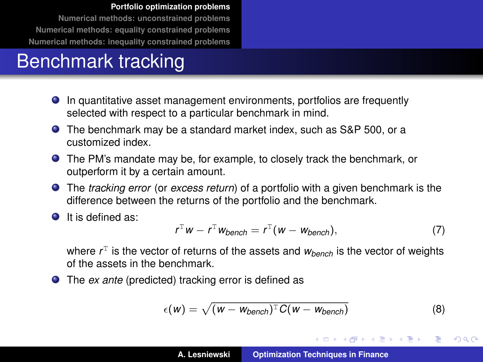## Benchmark tracking

- In quantitative asset management environments, portfolios are frequently selected with respect to a particular benchmark in mind.
- The benchmark may be a standard market index, such as S&P 500, or a customized index.
- The PM's mandate may be, for example, to closely track the benchmark, or outperform it by a certain amount.
- The *tracking error* (or *excess return*) of a portfolio with a given benchmark is the difference between the returns of the portfolio and the benchmark.
- It is defined as:

$$
r^{\mathrm{T}}w - r^{\mathrm{T}}w_{\text{bench}} = r^{\mathrm{T}}(w - w_{\text{bench}}), \qquad (7)
$$

where  $r<sup>T</sup>$  is the vector of returns of the assets and  $w_{bench}$  is the vector of weights of the assets in the benchmark.

The *ex ante* (predicted) tracking error is defined as

$$
\epsilon(w) = \sqrt{(w - w_{bench})^{\mathrm{T}} C(w - w_{bench})}
$$
 (8)

イロメ イ部メ イヨメ イヨメー

 $299$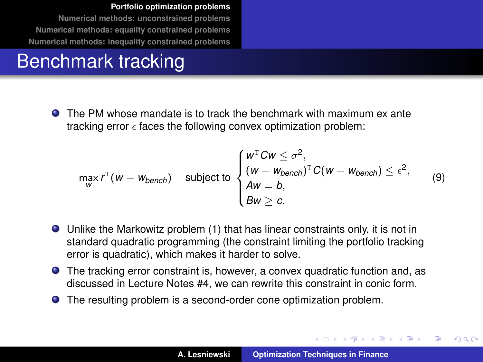## Benchmark tracking

The PM whose mandate is to track the benchmark with maximum ex ante tracking error  $\epsilon$  faces the following convex optimization problem:

<span id="page-13-0"></span>
$$
\max_{W} r^{T}(w - w_{bench}) \text{ subject to } \begin{cases} w^{T}Cw \leq \sigma^{2}, \\ (w - w_{bench})^{T}C(w - w_{bench}) \leq \epsilon^{2}, \\ Aw = b, \\ Bw \geq c. \end{cases}
$$
 (9)

- Unlike the Markowitz problem [\(1\)](#page-4-0) that has linear constraints only, it is not in standard quadratic programming (the constraint limiting the portfolio tracking error is quadratic), which makes it harder to solve.
- The tracking error constraint is, however, a convex quadratic function and, as discussed in Lecture Notes #4, we can rewrite this constraint in conic form.
- The resulting problem is a second-order cone optimization problem.

イロメ イ部メ イ君メ イ君メー

 $QQ$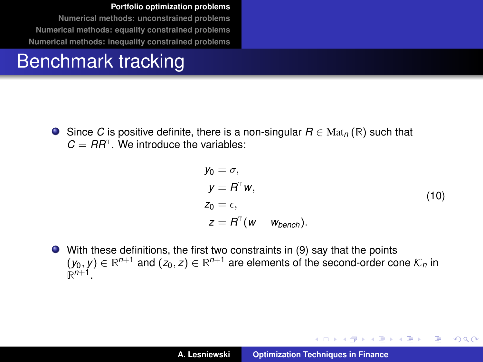## Benchmark tracking

Since *C* is positive definite, there is a non-singular *R* ∈ Mat*<sup>n</sup>* (**R**) such that  $C = RR<sup>T</sup>$ . We introduce the variables:

$$
y_0 = \sigma,
$$
  
\n
$$
y = R^{\mathrm{T}} w,
$$
  
\n
$$
z_0 = \epsilon,
$$
  
\n
$$
z = R^{\mathrm{T}} (w - w_{\text{bench}}).
$$
\n(10)

イロメ イ団メ イヨメ イヨメー

÷.

 $298$ 

With these definitions, the first two constraints in [\(9\)](#page-13-0) say that the points  $(y_0, y) \in \mathbb{R}^{n+1}$  and  $(z_0, z) \in \mathbb{R}^{n+1}$  are elements of the second-order cone  $\mathcal{K}_n$  in  $\mathbb{R}^{n+1}$ .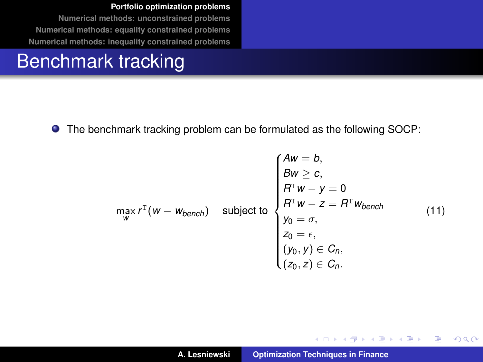## Benchmark tracking

The benchmark tracking problem can be formulated as the following SOCP:

$$
\max_{\mathbf{w}} r^{\mathrm{T}}(\mathbf{w} - \mathbf{w}_{\text{bench}}) \quad \text{subject to} \quad\n\begin{cases}\nA\mathbf{w} = \mathbf{b}, \\
B\mathbf{w} \geq \mathbf{c}, \\
B^{\mathrm{T}}\mathbf{w} - \mathbf{y} = 0 \\
B^{\mathrm{T}}\mathbf{w} - \mathbf{z} = B^{\mathrm{T}}\mathbf{w}_{\text{bench}} \\
\mathbf{y}_0 = \sigma, \\
\mathbf{z}_0 = \epsilon, \\
(\mathbf{y}_0, \mathbf{y}) \in \mathcal{C}_n, \\
(\mathbf{z}_0, \mathbf{z}) \in \mathcal{C}_n.\n\end{cases} \tag{11}
$$

イロトメ 御 トメ 君 トメ 君 トー

重

 $299$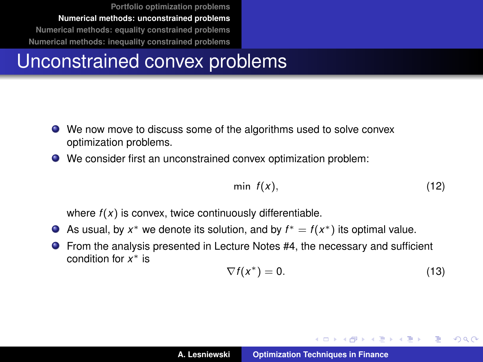#### <span id="page-16-0"></span>Unconstrained convex problems

- We now move to discuss some of the algorithms used to solve convex optimization problems.
- We consider first an unconstrained convex optimization problem:

$$
\min f(x), \tag{12}
$$

where  $f(x)$  is convex, twice continuously differentiable.

- As usual, by  $x^*$  we denote its solution, and by  $f^* = f(x^*)$  its optimal value.
- From the analysis presented in Lecture Notes #4, the necessary and sufficient condition for *x* <sup>∗</sup> is

$$
\nabla f(x^*) = 0. \tag{13}
$$

イロメ イ部メ イヨメ イヨメー

B

 $QQ$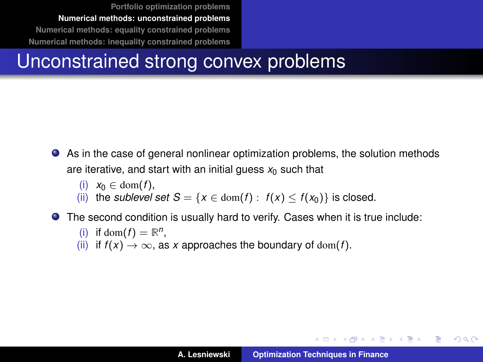## Unconstrained strong convex problems

- As in the case of general nonlinear optimization problems, the solution methods are iterative, and start with an initial guess  $x_0$  such that
	- (i)  $x_0 \in \text{dom}(f)$ .
	- (ii) the *sublevel set*  $S = \{x \in \text{dom}(f) : f(x) \le f(x_0)\}$  is closed.

The second condition is usually hard to verify. Cases when it is true include:

(i) if dom
$$
(f)
$$
 =  $\mathbb{R}^n$ ,

(ii) if  $f(x) \to \infty$ , as *x* approaches the boundary of dom(*f*).

イロメ イ団メ イヨメ イヨメー

 $QQ$ 

÷.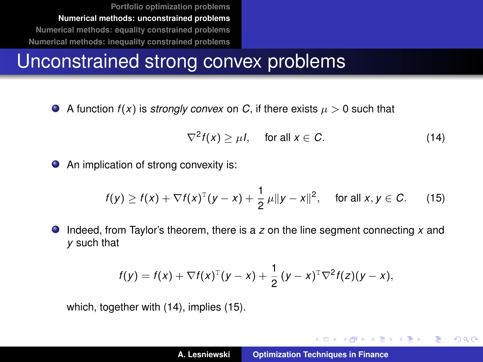## Unconstrained strong convex problems

A function  $f(x)$  is *strongly convex* on C, if there exists  $\mu > 0$  such that

<span id="page-18-0"></span>
$$
\nabla^2 f(x) \ge \mu l, \quad \text{ for all } x \in C. \tag{14}
$$

An implication of strong convexity is:  $\bullet$ 

<span id="page-18-1"></span>
$$
f(y) \ge f(x) + \nabla f(x)^T (y - x) + \frac{1}{2} \mu \|y - x\|^2
$$
, for all  $x, y \in C$ . (15)

Indeed, from Taylor's theorem, there is a *z* on the line segment connecting *x* and  $\bullet$ *y* such that

$$
f(y) = f(x) + \nabla f(x)^{\mathrm{T}}(y - x) + \frac{1}{2}(y - x)^{\mathrm{T}}\nabla^{2}f(z)(y - x),
$$

which, together with [\(14\)](#page-18-0), implies [\(15\)](#page-18-1).

イロメ イ団メ イヨメ イヨメー

重  $2Q$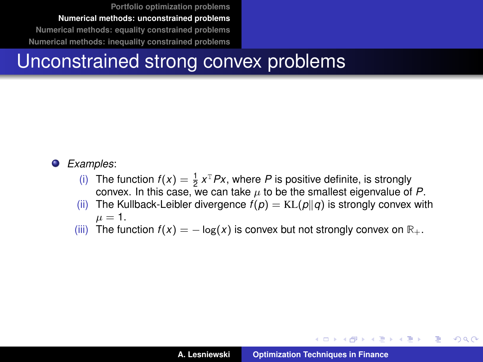## Unconstrained strong convex problems

#### $\bullet$ *Examples*:

- (i) The function  $f(x) = \frac{1}{2}x^T P x$ , where *P* is positive definite, is strongly convex. In this case, we can take  $\mu$  to be the smallest eigenvalue of  $P$ .
- (ii) The Kullback-Leibler divergence  $f(p) = KL(p||q)$  is strongly convex with  $\mu = 1$ .
- (iii) The function  $f(x) = -\log(x)$  is convex but not strongly convex on  $\mathbb{R}_+$ .

イロメ イ部メ イヨメ イヨメー

Þ  $2Q$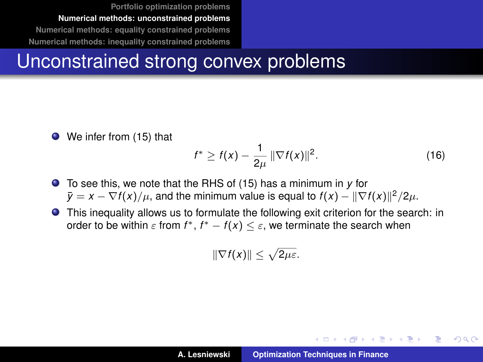#### Unconstrained strong convex problems

● We infer from [\(15\)](#page-18-1) that

$$
f^* \ge f(x) - \frac{1}{2\mu} \|\nabla f(x)\|^2.
$$
 (16)

イロメ イ部メ イヨメ イヨメー

Þ  $2Q$ 

To see this, we note that the RHS of [\(15\)](#page-18-1) has a minimum in *y* for  $\bar{y}=x-\nabla f(x)/\mu$ , and the minimum value is equal to  $f(x)-\|\nabla f(x)\|^2/2\mu$ .

This inequality allows us to formulate the following exit criterion for the search: in order to be within  $\varepsilon$  from  $f^*$ ,  $f^* - f(x) \leq \varepsilon$ , we terminate the search when

$$
\|\nabla f(x)\| \leq \sqrt{2\mu\varepsilon}.
$$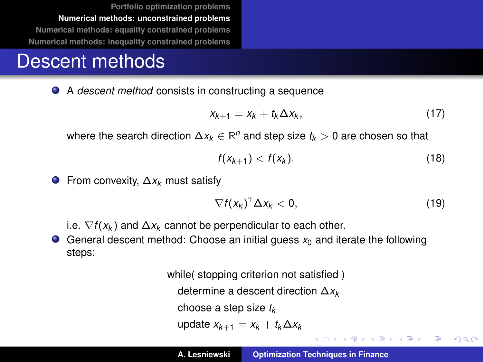#### Descent methods

A *descent method* consists in constructing a sequence

$$
x_{k+1} = x_k + t_k \Delta x_k, \qquad (17)
$$

where the search direction ∆*x<sup>k</sup>* ∈ **R** *<sup>n</sup>* and step size *t<sup>k</sup>* > 0 are chosen so that

$$
f(x_{k+1}) < f(x_k). \tag{18}
$$

From convexity, ∆*x<sup>k</sup>* must satisfy

$$
\nabla f(x_k)^{\mathrm{T}} \Delta x_k < 0, \qquad (19)
$$

イロメ イ部メ イ君メ イ君メー

 $E = \Omega Q$ 

i.e.  $\nabla f(x_k)$  and  $\Delta x_k$  cannot be perpendicular to each other.

General descent method: Choose an initial guess  $x_0$  and iterate the following steps:

> while( stopping criterion not satisfied ) determine a descent direction ∆*x<sup>k</sup>* choose a step size *t<sup>k</sup>* update *xk*+<sup>1</sup> = *x<sup>k</sup>* + *tk*∆*x<sup>k</sup>*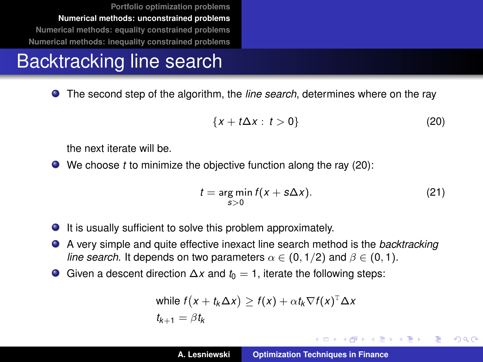## Backtracking line search

The second step of the algorithm, the *line search*, determines where on the ray

<span id="page-22-0"></span>
$$
\{x+t\Delta x:\,t>0\}\tag{20}
$$

the next iterate will be.

We choose *t* to minimize the objective function along the ray [\(20\)](#page-22-0):

$$
t = \underset{s>0}{\arg\min} f(x + s\Delta x). \tag{21}
$$

イロメ イ部メ イヨメ イヨメー

Þ

 $QQQ$ 

- It is usually sufficient to solve this problem approximately.
- A very simple and quite effective inexact line search method is the *backtracking line search*. It depends on two parameters  $\alpha \in (0, 1/2)$  and  $\beta \in (0, 1)$ .
- Given a descent direction  $\Delta x$  and  $t_0 = 1$ , iterate the following steps:

while 
$$
f(x + t_k \Delta x) \ge f(x) + \alpha t_k \nabla f(x)^T \Delta x
$$
  
 $t_{k+1} = \beta t_k$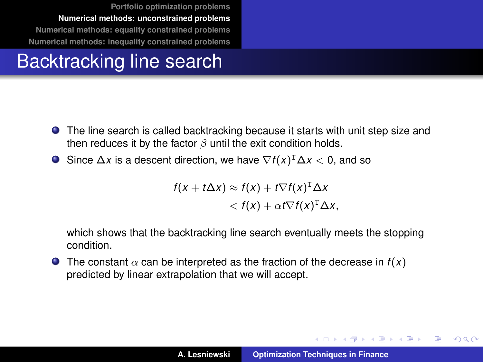## Backtracking line search

- The line search is called backtracking because it starts with unit step size and then reduces it by the factor  $\beta$  until the exit condition holds.
- Since ∆*x* is a descent direction, we have ∇*f* (*x*) <sup>T</sup>∆*x* < 0, and so

$$
f(x + t\Delta x) \approx f(x) + t\nabla f(x)^{\mathrm{T}}\Delta x
$$
  

$$
< f(x) + \alpha t\nabla f(x)^{\mathrm{T}}\Delta x,
$$

which shows that the backtracking line search eventually meets the stopping condition.

**O** The constant  $\alpha$  can be interpreted as the fraction of the decrease in  $f(x)$ predicted by linear extrapolation that we will accept.

イロメ イ部メ イヨメ イヨメー

 $QQ$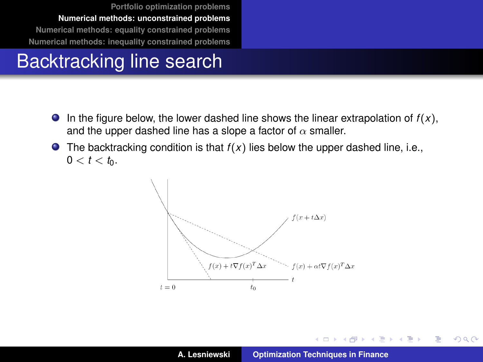## Backtracking line search

- $\bullet$  In the figure below, the lower dashed line shows the linear extrapolation of  $f(x)$ , and the upper dashed line has a slope a factor of  $\alpha$  smaller.
- $\bullet$  The backtracking condition is that  $f(x)$  lies below the upper dashed line, i.e.,  $0 < t < t_0$ .



イロメ イ部メ イヨメ イヨメー

 $299$ 

重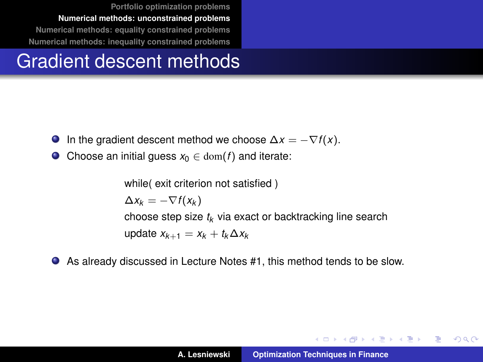#### Gradient descent methods

- In the gradient descent method we choose  $\Delta x = -\nabla f(x)$ .  $\bullet$
- $\bullet$ Choose an initial quess  $x_0 \in \text{dom}(f)$  and iterate:

while( exit criterion not satisfied )  $\Delta x_k = -\nabla f(x_k)$ choose step size *t<sup>k</sup>* via exact or backtracking line search update *xk*+<sup>1</sup> = *x<sup>k</sup>* + *tk*∆*x<sup>k</sup>*

 $\bullet$ As already discussed in Lecture Notes #1, this method tends to be slow.

K ロ ⊁ K 伊 ⊁ K 君 ⊁ K 君 ⊁ …

 $299$ 言い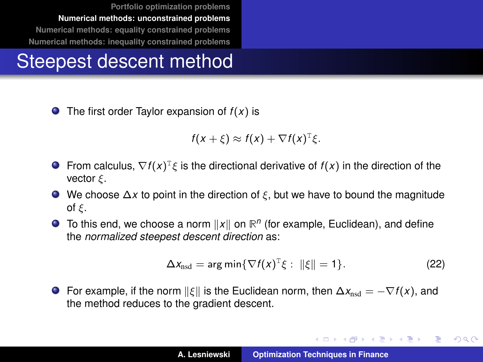## Steepest descent method

 $\bullet$  The first order Taylor expansion of  $f(x)$  is

$$
f(x+\xi) \approx f(x) + \nabla f(x)^{\mathrm{T}} \xi.
$$

- From calculus,  $\nabla f(x)^T \xi$  is the directional derivative of  $f(x)$  in the direction of the vector  $\xi$ .
- We choose ∆*x* to point in the direction of ξ, but we have to bound the magnitude of ξ.
- To this end, we choose a norm  $||x||$  on  $\mathbb{R}^n$  (for example, Euclidean), and define the *normalized steepest descent direction* as:

$$
\Delta x_{\text{nsd}} = \arg\min \{ \nabla f(x)^T \xi : ||\xi|| = 1 \}. \tag{22}
$$

イロメ イ団メ イヨメ イヨメー

 $299$ 

重

**•** For example, if the norm  $\|\xi\|$  is the Euclidean norm, then  $\Delta x_{\text{nsd}} = -\nabla f(x)$ , and the method reduces to the gradient descent.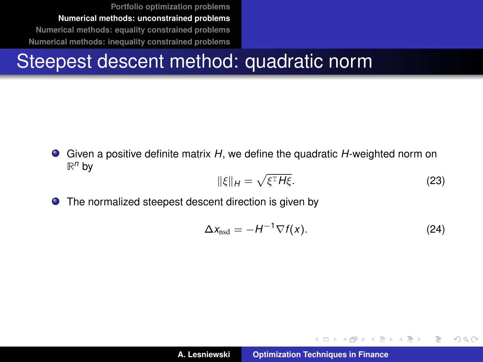## Steepest descent method: quadratic norm

Given a positive definite matrix *H*, we define the quadratic *H*-weighted norm on  $\mathbb{R}^n$  by

<span id="page-27-0"></span>
$$
\|\xi\|_{H} = \sqrt{\xi^{\mathrm{T}} H \xi}.
$$
\n(23)

 $\bullet$ The normalized steepest descent direction is given by

$$
\Delta x_{\text{nsd}} = -H^{-1} \nabla f(x). \tag{24}
$$

イロメ イ部メ イヨメ イヨメー

 $299$ 

重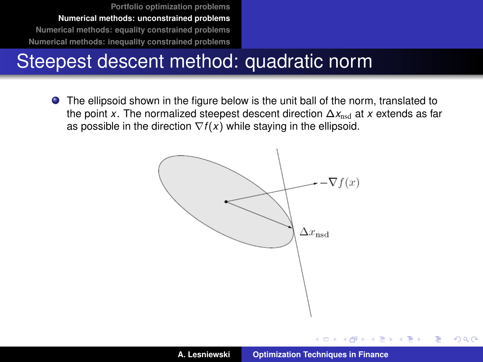## Steepest descent method: quadratic norm

The ellipsoid shown in the figure below is the unit ball of the norm, translated to the point *x*. The normalized steepest descent direction  $\Delta x_{\text{nod}}$  at *x* extends as far as possible in the direction  $\nabla f(x)$  while staying in the ellipsoid.



4 D F

 $\overline{AB}$   $\rightarrow$   $\overline{AB}$   $\rightarrow$   $\overline{AB}$   $\rightarrow$ 

 $299$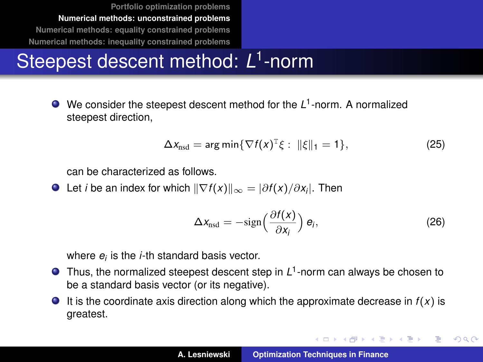## Steepest descent method: *L* 1 -norm

We consider the steepest descent method for the L<sup>1</sup>-norm. A normalized steepest direction,

$$
\Delta x_{\text{nsd}} = \arg\min \{ \nabla f(x)^{\text{T}} \xi : ||\xi||_1 = 1 \},\tag{25}
$$

can be characterized as follows.

Let *i* be an index for which  $\|\nabla f(x)\|_{\infty} = |\partial f(x)/\partial x_i|$ . Then

$$
\Delta x_{\text{nsd}} = -\text{sign}\left(\frac{\partial f(x)}{\partial x_i}\right) e_i, \tag{26}
$$

イロメ イ団メ イヨメ イヨメー

 $2Q$ 重

where *e<sup>i</sup>* is the *i*-th standard basis vector.

- Thus, the normalized steepest descent step in *L* 1 -norm can always be chosen to be a standard basis vector (or its negative).
- $\bullet$  It is the coordinate axis direction along which the approximate decrease in  $f(x)$  is greatest.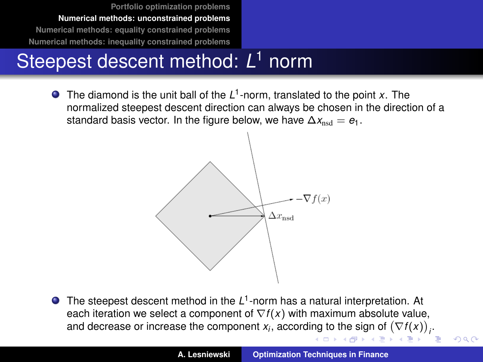## Steepest descent method: *L* <sup>1</sup> norm

The diamond is the unit ball of the L<sup>1</sup>-norm, translated to the point *x*. The normalized steepest descent direction can always be chosen in the direction of a standard basis vector. In the figure below, we have  $\Delta x_{\text{nsd}} = e_1$ .



The steepest descent method in the L<sup>1</sup>-norm has a natural interpretation. At each iteration we select a component of  $\nabla f(x)$  with maximum absolute value, and decrease or [i](#page-0-0)ncrease the component  $x_i$ , according to the sign of  $(\nabla f(x))_i$ .  $\overline{AB}$   $\rightarrow$   $\overline{AB}$   $\rightarrow$   $\overline{AB}$ 

 $QQQ$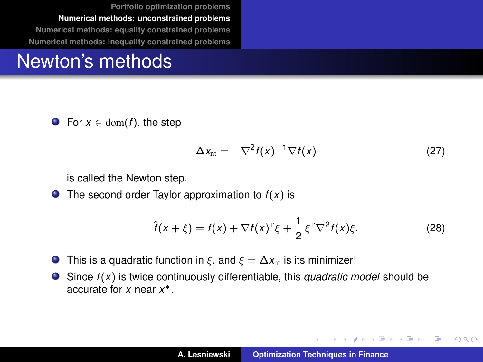#### Newton's methods

**•** For  $x \in \text{dom}(f)$ , the step

$$
\Delta x_{\rm nt} = -\nabla^2 f(x)^{-1} \nabla f(x) \tag{27}
$$

イロメ イ部メ イヨメ イヨメー

Þ

 $298$ 

is called the Newton step.

 $\bullet$  The second order Taylor approximation to  $f(x)$  is

$$
\hat{f}(x+\xi) = f(x) + \nabla f(x)^{\mathrm{T}} \xi + \frac{1}{2} \xi^{\mathrm{T}} \nabla^2 f(x) \xi.
$$
 (28)

- This is a quadratic function in  $\xi$ , and  $\xi = \Delta x_{nt}$  is its minimizer!  $\bullet$
- Since *f* (*x*) is twice continuously differentiable, this *quadratic model* should be accurate for *x* near *x* ∗.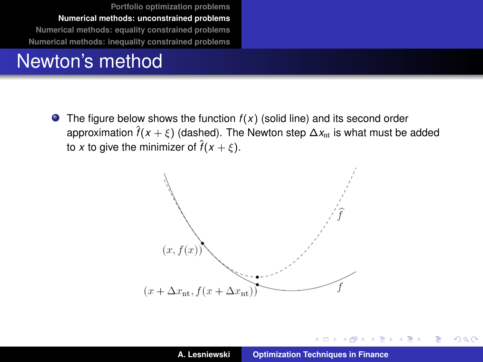#### Newton's method

**•** The figure below shows the function  $f(x)$  (solid line) and its second order approximation  $\hat{f}(x + \xi)$  (dashed). The Newton step  $\Delta x_{nt}$  is what must be added to *x* to give the minimizer of  $\hat{f}(x + \xi)$ .



4 0 8

メタメ メミメメミメ

 $299$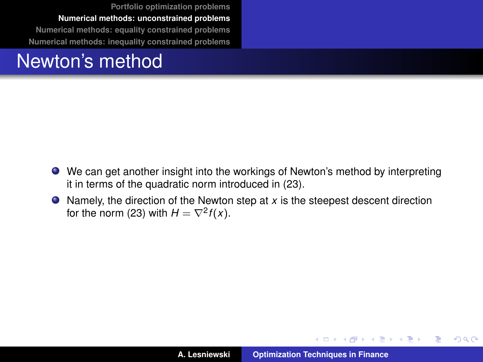#### Newton's method

- We can get another insight into the workings of Newton's method by interpreting it in terms of the quadratic norm introduced in [\(23\)](#page-27-0).
- Namely, the direction of the Newton step at *x* is the steepest descent direction for the norm [\(23\)](#page-27-0) with  $H = \nabla^2 f(x)$ .

イロメ イ部メ イヨメ イヨメー

 $299$ 

重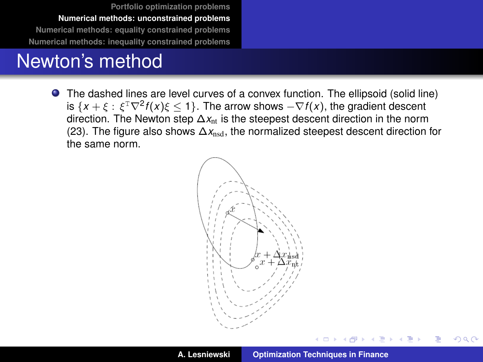#### Newton's method

The dashed lines are level curves of a convex function. The ellipsoid (solid line) is  $\{x+\xi: \xi^{\text{\tiny T}}\nabla^2 f(x)\xi\leq 1\}.$  The arrow shows  $-\nabla f(x),$  the gradient descent direction. The Newton step ∆*x*nt is the steepest descent direction in the norm [\(23\)](#page-27-0). The figure also shows  $\Delta x_{\text{nod}}$ , the normalized steepest descent direction for the same norm.



 $\exists x \in A \Rightarrow x$ 

 $2Q$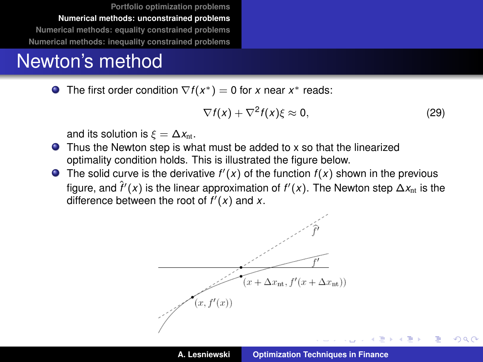#### Newton's method

The first order condition  $\nabla f(x^*)=0$  for *x* near  $x^*$  reads:

$$
\nabla f(x) + \nabla^2 f(x) \xi \approx 0, \qquad (29)
$$

 $QQQ$ 

and its solution is  $\xi = \Delta x_{nt}$ .

- Thus the Newton step is what must be added to x so that the linearized optimality condition holds. This is illustrated the figure below.
- The solid curve is the derivative  $f'(x)$  of the function  $f(x)$  shown in the previous figure, and  $\hat{f}'(x)$  is the linear approximation of  $f'(x)$ . The Newton step  $\Delta x_{\text{nt}}$  is the difference between the root of  $f'(x)$  and  $x$ .

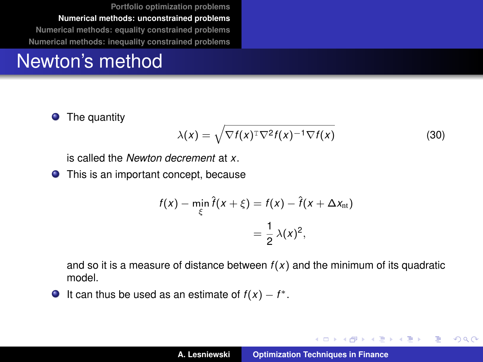#### Newton's method

**O** The quantity

$$
\lambda(x) = \sqrt{\nabla f(x)^{\mathrm{T}} \nabla^2 f(x)^{-1} \nabla f(x)}
$$
\n(30)

is called the *Newton decrement* at *x*.

**•** This is an important concept, because

$$
f(x) - \min_{\xi} \hat{f}(x + \xi) = f(x) - \hat{f}(x + \Delta x_{\text{nt}})
$$

$$
= \frac{1}{2} \lambda(x)^2,
$$

and so it is a measure of distance between *f* (*x*) and the minimum of its quadratic model.

It can thus be used as an estimate of  $f(x) - f^*$ .

イロメ イ団メ イヨメ イヨメー

 $299$ 

重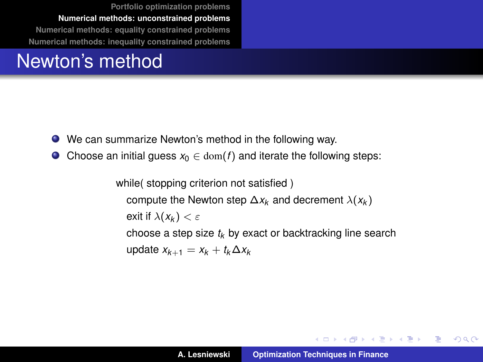## Newton's method

- We can summarize Newton's method in the following way.
- $\bullet$ Choose an initial guess  $x_0 \in \text{dom}(f)$  and iterate the following steps:

while( stopping criterion not satisfied ) compute the Newton step  $\Delta x_k$  and decrement  $\lambda(x_k)$ exit if  $\lambda(x_k) < \varepsilon$ choose a step size *t<sup>k</sup>* by exact or backtracking line search update *xk*+<sup>1</sup> = *x<sup>k</sup>* + *tk*∆*x<sup>k</sup>*

イロト イ母 トイ ヨ トイ ヨ トー ヨー

 $2990$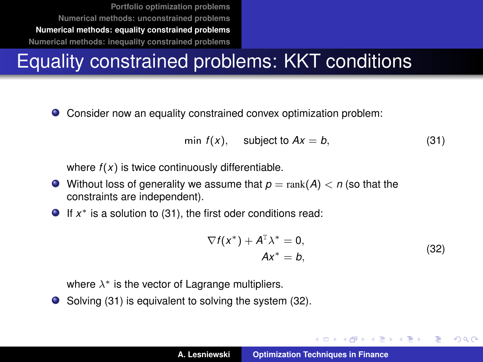## <span id="page-38-0"></span>Equality constrained problems: KKT conditions

Consider now an equality constrained convex optimization problem:

<span id="page-38-1"></span>
$$
\min f(x), \quad \text{subject to } Ax = b,\tag{31}
$$

where  $f(x)$  is twice continuously differentiable.

- $\bullet$  Without loss of generality we assume that  $p = \text{rank}(A) < n$  (so that the constraints are independent).
- If *x* <sup>∗</sup> is a solution to [\(31\)](#page-38-1), the first oder conditions read:

$$
\nabla f(x^*) + A^{\mathrm{T}} \lambda^* = 0,
$$
  
\n
$$
Ax^* = b,
$$
\n(32)

イロメ イ団メ イヨメ イヨメー

B

 $QQQ$ 

<span id="page-38-2"></span>where  $\lambda^*$  is the vector of Lagrange multipliers.

● Solving [\(31\)](#page-38-1) is equivalent to solving the system [\(32\)](#page-38-2).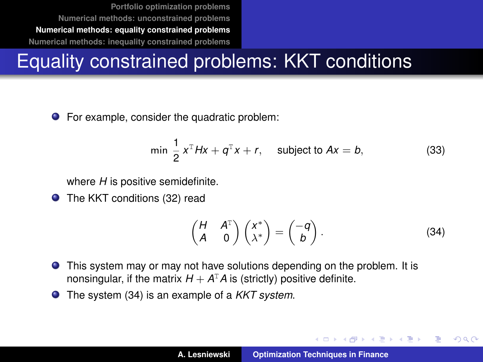## Equality constrained problems: KKT conditions

● For example, consider the quadratic problem:

<span id="page-39-1"></span>
$$
\min \frac{1}{2} x^T Hx + q^T x + r, \quad \text{subject to } Ax = b,\tag{33}
$$

where *H* is positive semidefinite.

**O** The KKT conditions [\(32\)](#page-38-2) read

<span id="page-39-0"></span>
$$
\begin{pmatrix} H & A^{\mathrm{T}} \\ A & 0 \end{pmatrix} \begin{pmatrix} x^* \\ \lambda^* \end{pmatrix} = \begin{pmatrix} -q \\ b \end{pmatrix}.
$$
 (34)

イロメ イ部メ イヨメ イヨメー

Þ  $QQQ$ 

- This system may or may not have solutions depending on the problem. It is nonsingular, if the matrix  $H + A^{T}A$  is (strictly) positive definite.
- The system [\(34\)](#page-39-0) is an example of a *KKT system*.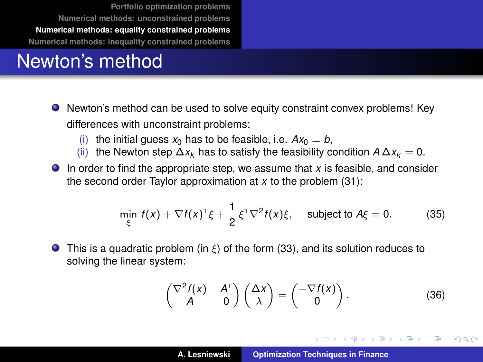## Newton's method

- Newton's method can be used to solve equity constraint convex problems! Key differences with unconstraint problems:
	- (i) the initial quess  $x_0$  has to be feasible, i.e.  $Ax_0 = b$ .
	- (ii) the Newton step  $\Delta x_k$  has to satisfy the feasibility condition  $A \Delta x_k = 0$ .
- In order to find the appropriate step, we assume that *x* is feasible, and consider the second order Taylor approximation at *x* to the problem [\(31\)](#page-38-1):

$$
\min_{\xi} f(x) + \nabla f(x)^{\mathrm{T}} \xi + \frac{1}{2} \xi^{\mathrm{T}} \nabla^2 f(x) \xi, \quad \text{subject to } A \xi = 0. \tag{35}
$$

**This is a quadratic problem** (in  $\xi$ ) of the form [\(33\)](#page-39-1), and its solution reduces to solving the linear system:

$$
\begin{pmatrix} \nabla^2 f(x) & A^T \\ A & 0 \end{pmatrix} \begin{pmatrix} \Delta x \\ \lambda \end{pmatrix} = \begin{pmatrix} -\nabla f(x) \\ 0 \end{pmatrix}.
$$
 (36)

イロメ イ部メ イ君メ イ君メー

Þ

 $298$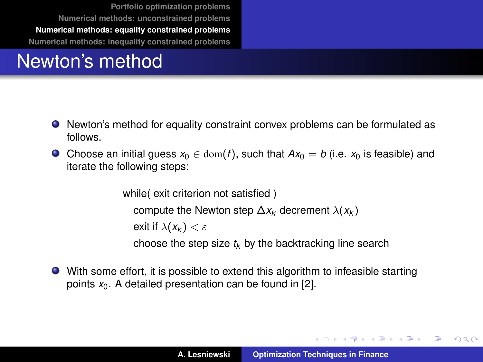## Newton's method

- Newton's method for equality constraint convex problems can be formulated as follows.
- **●** Choose an initial guess  $x_0$  ∈ dom(*f*), such that  $Ax_0 = b$  (i.e.  $x_0$  is feasible) and iterate the following steps:

```
while( exit criterion not satisfied )
  compute the Newton step \Delta x_k decrement \lambda(x_k)exit if \lambda(x_k) < \varepsilonchoose the step size t_k by the backtracking line search
```
With some effort, it is possible to extend this algorithm to infeasible starting points  $x_0$ . A detailed presentation can be found in [\[2\]](#page-64-1).

イロメ イ団メ イヨメ イヨメー

 $299$ 唐山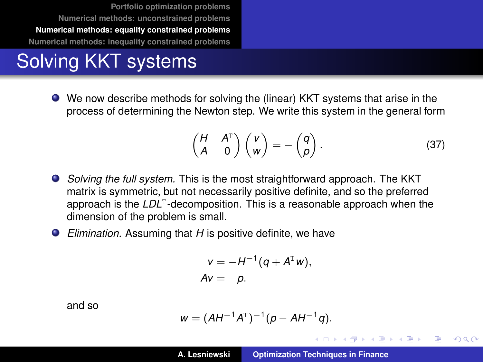## Solving KKT systems

We now describe methods for solving the (linear) KKT systems that arise in the process of determining the Newton step. We write this system in the general form

<span id="page-42-0"></span>
$$
\begin{pmatrix} H & A^T \\ A & 0 \end{pmatrix} \begin{pmatrix} v \\ w \end{pmatrix} = - \begin{pmatrix} q \\ \rho \end{pmatrix}.
$$
 (37)

イロメ イ部メ イ君メ イ君メー

 $QQQ$ 

- *Solving the full system.* This is the most straightforward approach. The KKT matrix is symmetric, but not necessarily positive definite, and so the preferred approach is the LDL<sup>T</sup>-decomposition. This is a reasonable approach when the dimension of the problem is small.
- $\bullet$ *Elimination.* Assuming that *H* is positive definite, we have

$$
v = -H^{-1}(q + A^{\mathrm{T}} w),
$$
  
 
$$
Av = -p.
$$

and so

$$
w = (AH^{-1}A^{T})^{-1}(p - AH^{-1}q).
$$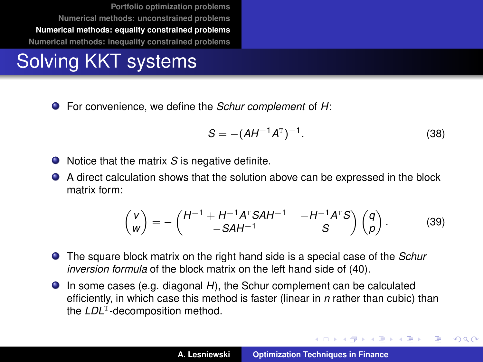## Solving KKT systems

For convenience, we define the *Schur complement* of *H*:

$$
S = -(AH^{-1}A^{T})^{-1}.
$$
 (38)

イロメ イ部メ イヨメ イヨメー

Þ

 $QQ$ 

- Notice that the matrix S is negative definite.
- A direct calculation shows that the solution above can be expressed in the block . matrix form:

$$
\begin{pmatrix} v \\ w \end{pmatrix} = -\begin{pmatrix} H^{-1} + H^{-1}A^{T}SAH^{-1} & -H^{-1}A^{T}S \\ -SAH^{-1} & S \end{pmatrix} \begin{pmatrix} q \\ p \end{pmatrix}.
$$
 (39)

- The square block matrix on the right hand side is a special case of the *Schur inversion formula* of the block matrix on the left hand side of [\(40\)](#page-42-0).
- In some cases (e.g. diagonal *H*), the Schur complement can be calculated efficiently, in which case this method is faster (linear in *n* rather than cubic) than the LDL<sup>T</sup>-decomposition method.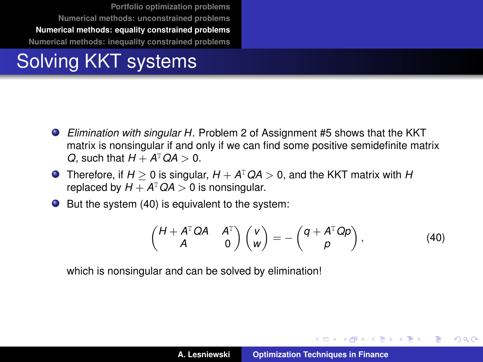## Solving KKT systems

- *Elimination with singular H.* Problem 2 of Assignment #5 shows that the KKT matrix is nonsingular if and only if we can find some positive semidefinite matrix *Q*, such that  $H + A^{T}QA > 0$ .
- Therefore, if  $H \geq 0$  is singular,  $H + A^{T}QA > 0$ , and the KKT matrix with  $H$ replaced by  $H + A^{T}QA > 0$  is nonsingular.
- $\bullet$  But the system [\(40\)](#page-42-0) is equivalent to the system:

$$
\begin{pmatrix} H + A^{\mathrm{T}} Q A & A^{\mathrm{T}} \\ A & 0 \end{pmatrix} \begin{pmatrix} v \\ w \end{pmatrix} = - \begin{pmatrix} q + A^{\mathrm{T}} Q p \\ p \end{pmatrix}, \tag{40}
$$

イロメ イ部メ イヨメ イヨメー

Þ  $QQQ$ 

which is nonsingular and can be solved by elimination!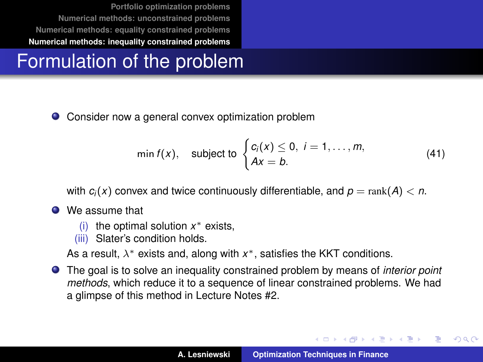## <span id="page-45-0"></span>Formulation of the problem

Consider now a general convex optimization problem

$$
\min f(x), \quad \text{subject to } \begin{cases} c_i(x) \leq 0, \ i = 1, \dots, m, \\ Ax = b. \end{cases} \tag{41}
$$

with  $c_i(x)$  convex and twice continuously differentiable, and  $p = \text{rank}(A) < n$ .

- We assume that
	- (i) the optimal solution *x* <sup>∗</sup> exists,
	- (iii) Slater's condition holds.

As a result,  $\lambda^*$  exists and, along with  $x^*$ , satisfies the KKT conditions.

The goal is to solve an inequality constrained problem by means of *interior point methods*, which reduce it to a sequence of linear constrained problems. We had a glimpse of this method in Lecture Notes #2.

イロメ イ部メ イヨメ イヨメー

Þ  $QQQ$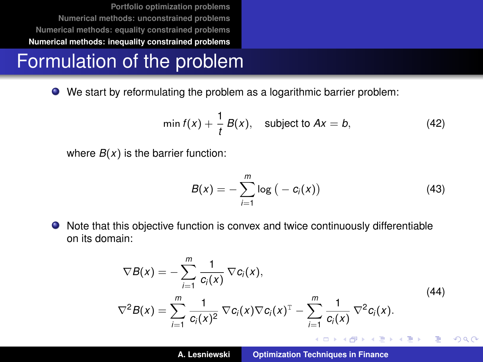#### Formulation of the problem

We start by reformulating the problem as a logarithmic barrier problem:

$$
\min f(x) + \frac{1}{t} B(x), \quad \text{subject to } Ax = b,
$$
 (42)

where  $B(x)$  is the barrier function:

$$
B(x) = -\sum_{i=1}^{m} \log (-c_i(x))
$$
 (43)

Note that this objective function is convex and twice continuously differentiable on its domain:

<span id="page-46-0"></span>
$$
\nabla B(x) = -\sum_{i=1}^{m} \frac{1}{c_i(x)} \nabla c_i(x),
$$
\n
$$
\nabla^2 B(x) = \sum_{i=1}^{m} \frac{1}{c_i(x)^2} \nabla c_i(x) \nabla c_i(x)^T - \sum_{i=1}^{m} \frac{1}{c_i(x)} \nabla^2 c_i(x).
$$
\n(44)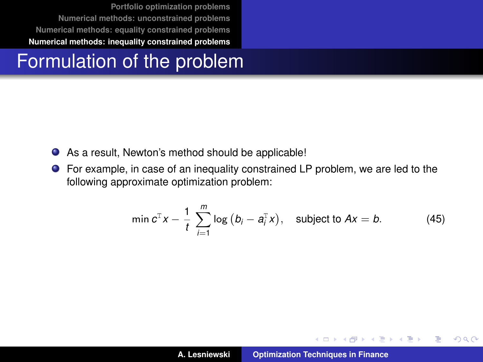## Formulation of the problem

- As a result, Newton's method should be applicable!
- For example, in case of an inequality constrained LP problem, we are led to the following approximate optimization problem:

$$
\min c^{\mathrm{T}} x - \frac{1}{t} \sum_{i=1}^{m} \log (b_i - a_i^{\mathrm{T}} x), \quad \text{subject to } Ax = b. \tag{45}
$$

イロメ イ部メ イ君メ イ君メー

 $299$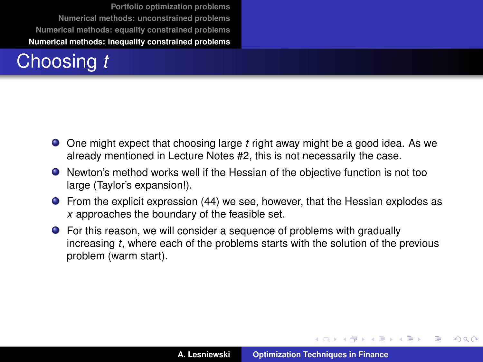# Choosing *t*

- One might expect that choosing large *t* right away might be a good idea. As we already mentioned in Lecture Notes #2, this is not necessarily the case.
- Newton's method works well if the Hessian of the objective function is not too large (Taylor's expansion!).
- From the explicit expression [\(44\)](#page-46-0) we see, however, that the Hessian explodes as *x* approaches the boundary of the feasible set.
- For this reason, we will consider a sequence of problems with gradually increasing *t*, where each of the problems starts with the solution of the previous problem (warm start).

イロメ イ部メ イヨメ イヨメー

 $QQ$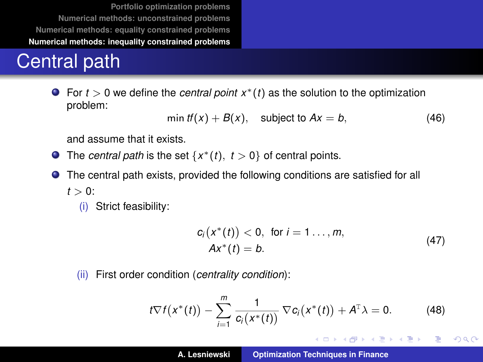## Central path

For *t* > 0 we define the *central point x*∗(*t*) as the solution to the optimization problem:

$$
\min tf(x) + B(x), \quad \text{subject to } Ax = b,\tag{46}
$$

and assume that it exists.

- The *central path* is the set  $\{x^*(t), t > 0\}$  of central points.
- The central path exists, provided the following conditions are satisfied for all  $t > 0$ 
	- (i) Strict feasibility:

$$
c_i(x^*(t)) < 0, \text{ for } i = 1...,m,
$$
  
 
$$
Ax^*(t) = b.
$$
 (47)

イロメ イ団メ イヨメ イヨメー

重

 $298$ 

(ii) First order condition (*centrality condition*):

<span id="page-49-0"></span>
$$
t\nabla f(x^*(t)) - \sum_{i=1}^m \frac{1}{c_i(x^*(t))} \nabla c_i(x^*(t)) + A^{\mathrm{T}} \lambda = 0.
$$
 (48)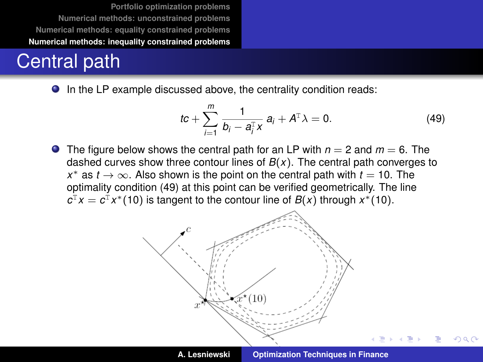## Central path

● In the LP example discussed above, the centrality condition reads:

<span id="page-50-0"></span>
$$
tc + \sum_{i=1}^{m} \frac{1}{b_i - a_i^{\mathrm{T}} x} a_i + A^{\mathrm{T}} \lambda = 0.
$$
 (49)

**O** The figure below shows the central path for an LP with  $n = 2$  and  $m = 6$ . The dashed curves show three contour lines of  $B(x)$ . The central path converges to *x* <sup>∗</sup> as *t* → ∞. Also shown is the point on the central path with *t* = 10. The optimality condition [\(49\)](#page-50-0) at this point can be verified geometrically. The line  $c^{\text{T}}x = c^{\text{T}}x^*(10)$  is tangent to the contour line of *B*(*x*) through *x*<sup>\*</sup>(10).



 $QQ$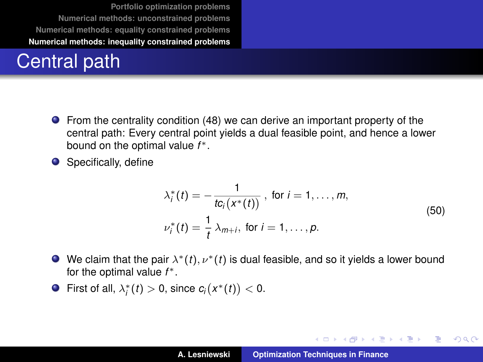## Central path

- From the centrality condition [\(48\)](#page-49-0) we can derive an important property of the central path: Every central point yields a dual feasible point, and hence a lower bound on the optimal value *f* ∗.
- Specifically, define

$$
\lambda_i^*(t) = -\frac{1}{t c_i(x^*(t))}, \text{ for } i = 1, ..., m,
$$
  

$$
\nu_i^*(t) = \frac{1}{t} \lambda_{m+i}, \text{ for } i = 1, ..., p.
$$
 (50)

イロトメ 御 トメ 君 トメ 君 トー

 $299$ 

重

- We claim that the pair  $\lambda^*(t), \nu^*(t)$  is dual feasible, and so it yields a lower bound for the optimal value *f* ∗.
- First of all,  $\lambda_i^*(t) > 0$ , since  $c_i(x^*(t)) < 0$ .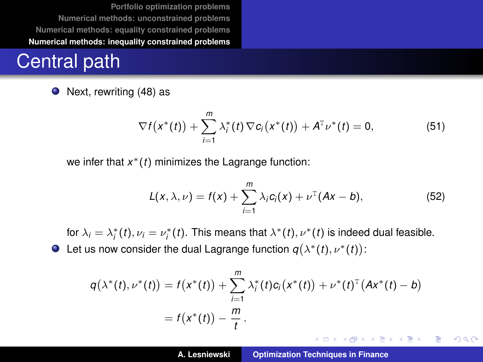## Central path

• Next, rewriting [\(48\)](#page-49-0) as

$$
\nabla f(x^*(t)) + \sum_{i=1}^m \lambda_i^*(t) \nabla c_i(x^*(t)) + A^T \nu^*(t) = 0, \qquad (51)
$$

we infer that *x* <sup>∗</sup>(*t*) minimizes the Lagrange function:

$$
L(x, \lambda, \nu) = f(x) + \sum_{i=1}^{m} \lambda_i c_i(x) + \nu^{T} (Ax - b), \qquad (52)
$$

for  $\lambda_i = \lambda_i^*(t)$ ,  $\nu_i = \nu_i^*(t)$ . This means that  $\lambda^*(t)$ ,  $\nu^*(t)$  is indeed dual feasible. Let us now consider the dual Lagrange function  $q(\lambda^*(t), \nu^*(t))$ :

$$
q(\lambda^*(t), \nu^*(t)) = f(x^*(t)) + \sum_{i=1}^m \lambda_i^*(t)c_i(x^*(t)) + \nu^*(t)^T(Ax^*(t) - b)
$$
  
=  $f(x^*(t)) - \frac{m}{t}$ .

イロメ イ部メ イ君メ イ君メー

 $299$ 

画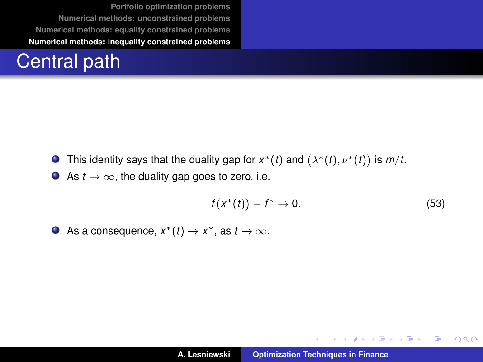## Central path

- This identity says that the duality gap for  $x^*(t)$  and  $(\lambda^*(t), \nu^*(t))$  is  $m/t$ .
- As  $t \to \infty$ , the duality gap goes to zero, i.e.

$$
f\big(x^*(t)\big) - f^* \to 0. \tag{53}
$$

イロトメ 御 トメ き トメ き トー

重。  $299$ 

As a consequence,  $x^*(t) \to x^*$ , as  $t \to \infty$ .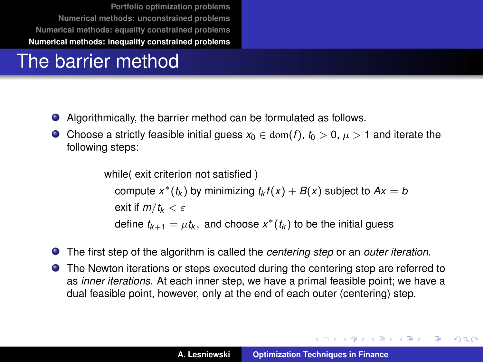## The barrier method

- Algorithmically, the barrier method can be formulated as follows.
- **●** Choose a strictly feasible initial guess  $x_0 \text{ } \in \text{dom}(f)$ ,  $t_0 > 0$ ,  $\mu > 1$  and iterate the following steps:

while( exit criterion not satisfied) compute  $x^*(t_k)$  by minimizing  $t_k f(x) + B(x)$  subject to  $Ax = b$ exit if  $m/t_k < \varepsilon$ define  $t_{k+1} = \mu t_k$ , and choose  $x^*(t_k)$  to be the initial guess

- The first step of the algorithm is called the *centering step* or an *outer iteration*. О.
- The Newton iterations or steps executed during the centering step are referred to as *inner iterations*. At each inner step, we have a primal feasible point; we have a dual feasible point, however, only at the end of each outer (centering) step.

K ロ ⊁ K 伊 ⊁ K 君 ⊁ K 君 ⊁ …

 $\equiv$  990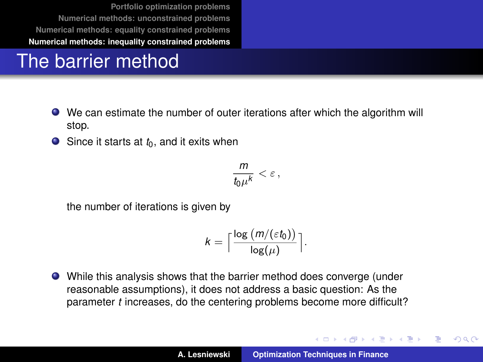## The barrier method

- We can estimate the number of outer iterations after which the algorithm will stop.
- $\bullet$  Since it starts at  $t_0$ , and it exits when

$$
\frac{m}{t_0\mu^k}<\varepsilon\,,
$$

the number of iterations is given by

$$
k = \Big\lceil \frac{\log (m/(\varepsilon t_0))}{\log(\mu)} \Big\rceil.
$$

While this analysis shows that the barrier method does converge (under reasonable assumptions), it does not address a basic question: As the parameter *t* increases, do the centering problems become more difficult?

イロメ イ部メ イヨメ イヨメー

 $QQ$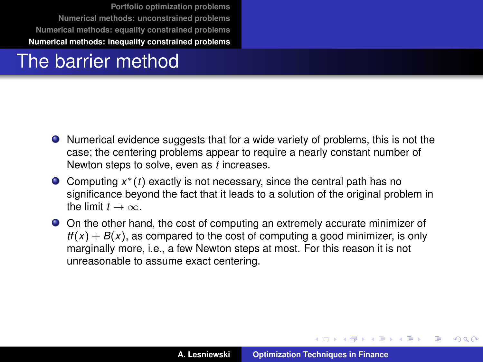## The barrier method

- Numerical evidence suggests that for a wide variety of problems, this is not the case; the centering problems appear to require a nearly constant number of Newton steps to solve, even as *t* increases.
- Computing *x* <sup>∗</sup>(*t*) exactly is not necessary, since the central path has no significance beyond the fact that it leads to a solution of the original problem in the limit  $t \to \infty$ .
- On the other hand, the cost of computing an extremely accurate minimizer of  $tf(x) + B(x)$ , as compared to the cost of computing a good minimizer, is only marginally more, i.e., a few Newton steps at most. For this reason it is not unreasonable to assume exact centering.

イロメ イ部メ イヨメ イヨメー

 $QQ$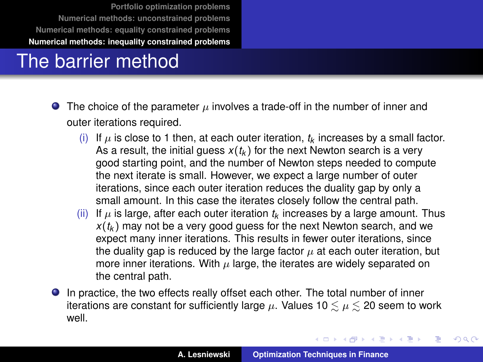## The barrier method

- **•** The choice of the parameter  $\mu$  involves a trade-off in the number of inner and outer iterations required.
	- (i) If  $\mu$  is close to 1 then, at each outer iteration,  $t_k$  increases by a small factor. As a result, the initial guess  $x(t_k)$  for the next Newton search is a very good starting point, and the number of Newton steps needed to compute the next iterate is small. However, we expect a large number of outer iterations, since each outer iteration reduces the duality gap by only a small amount. In this case the iterates closely follow the central path.
	- (ii) If  $\mu$  is large, after each outer iteration  $t_k$  increases by a large amount. Thus  $x(t_k)$  may not be a very good guess for the next Newton search, and we expect many inner iterations. This results in fewer outer iterations, since the duality gap is reduced by the large factor  $\mu$  at each outer iteration, but more inner iterations. With  $\mu$  large, the iterates are widely separated on the central path.
- In practice, the two effects really offset each other. The total number of inner iterations are constant for sufficiently large  $\mu$ . Values 10  $\leq \mu \leq$  20 seem to work well.

イロメ イ部メ イヨメ イヨメー

÷,

 $299$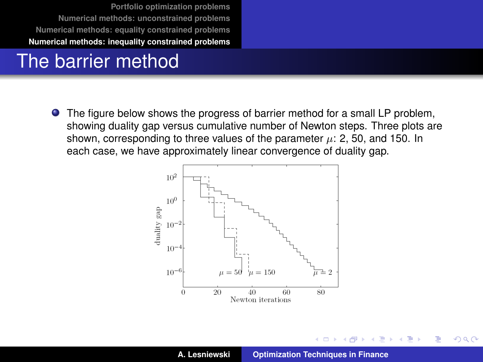## The barrier method

The figure below shows the progress of barrier method for a small LP problem, showing duality gap versus cumulative number of Newton steps. Three plots are shown, corresponding to three values of the parameter  $\mu$ : 2, 50, and 150. In each case, we have approximately linear convergence of duality gap.



 $2Q$ 

Þ

重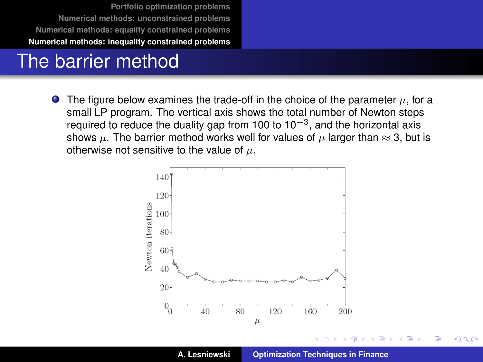#### The barrier method

The figure below examines the trade-off in the choice of the parameter  $\mu$ , for a  $\bullet$ small LP program. The vertical axis shows the total number of Newton steps required to reduce the duality gap from 100 to 10<sup>-3</sup>, and the horizontal axis shows  $\mu$ . The barrier method works well for values of  $\mu$  larger than  $\approx$  3, but is otherwise not sensitive to the value of  $\mu$ .



 $2Q$ 

Þ

∢頂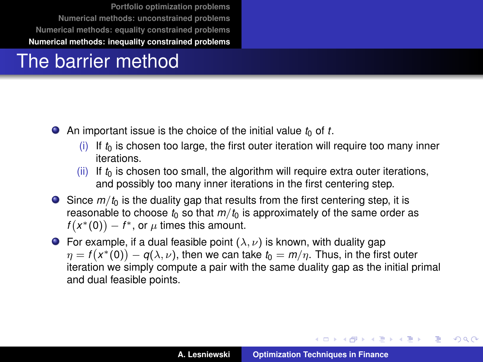## The barrier method

- $\bullet$  An important issue is the choice of the initial value  $t_0$  of t.
	- $(i)$  If  $t<sub>0</sub>$  is chosen too large, the first outer iteration will require too many inner iterations.
	- (ii) If  $t_0$  is chosen too small, the algorithm will require extra outer iterations, and possibly too many inner iterations in the first centering step.
- $\bullet$  Since  $m/t_0$  is the duality gap that results from the first centering step, it is reasonable to choose  $t_0$  so that  $m/t_0$  is approximately of the same order as  $f(x^*(0)) - f^*$ , or  $\mu$  times this amount.
- **•** For example, if a dual feasible point  $(\lambda, \nu)$  is known, with duality gap  $\eta = f\big(\mathsf{x}^*(0)\big) - q(\lambda,\nu),$  then we can take  $t_0 = m/\eta.$  Thus, in the first outer iteration we simply compute a pair with the same duality gap as the initial primal and dual feasible points.

イロメ イ部メ イヨメ イヨメー

Þ

 $QQ$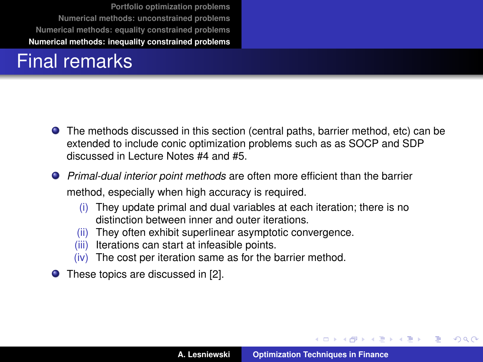## Final remarks

- The methods discussed in this section (central paths, barrier method, etc) can be extended to include conic optimization problems such as as SOCP and SDP discussed in Lecture Notes #4 and #5.
- *Primal-dual interior point methods* are often more efficient than the barrier method, especially when high accuracy is required.
	- (i) They update primal and dual variables at each iteration; there is no distinction between inner and outer iterations.
	- (ii) They often exhibit superlinear asymptotic convergence.
	- (iii) Iterations can start at infeasible points.
	- (iv) The cost per iteration same as for the barrier method.
- These topics are discussed in [\[2\]](#page-64-1).

イロメ イ部メ イ君メ イ君メー

 $QQ$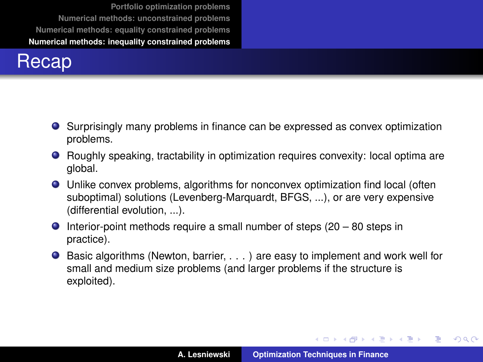#### Recap

- Surprisingly many problems in finance can be expressed as convex optimization problems.
- Roughly speaking, tractability in optimization requires convexity: local optima are global.
- Unlike convex problems, algorithms for nonconvex optimization find local (often suboptimal) solutions (Levenberg-Marquardt, BFGS, ...), or are very expensive (differential evolution, ...).
- $\bullet$  Interior-point methods require a small number of steps (20 80 steps in practice).
- $\bullet$  Basic algorithms (Newton, barrier,  $\dots$ ) are easy to implement and work well for small and medium size problems (and larger problems if the structure is exploited).

イロメ イ団メ イヨメ イヨメー

÷.

 $QQ$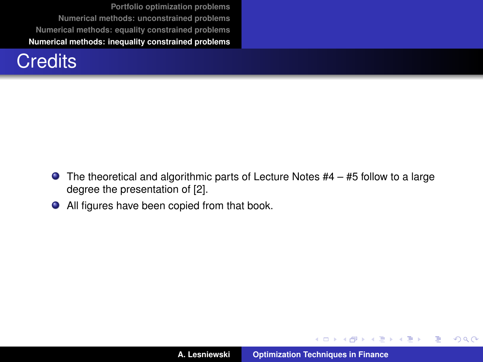

- $\bullet$  The theoretical and algorithmic parts of Lecture Notes #4 #5 follow to a large degree the presentation of [\[2\]](#page-64-1).
- All figures have been copied from that book.

イロメ イ部メ イヨメ イヨメー

重

 $299$